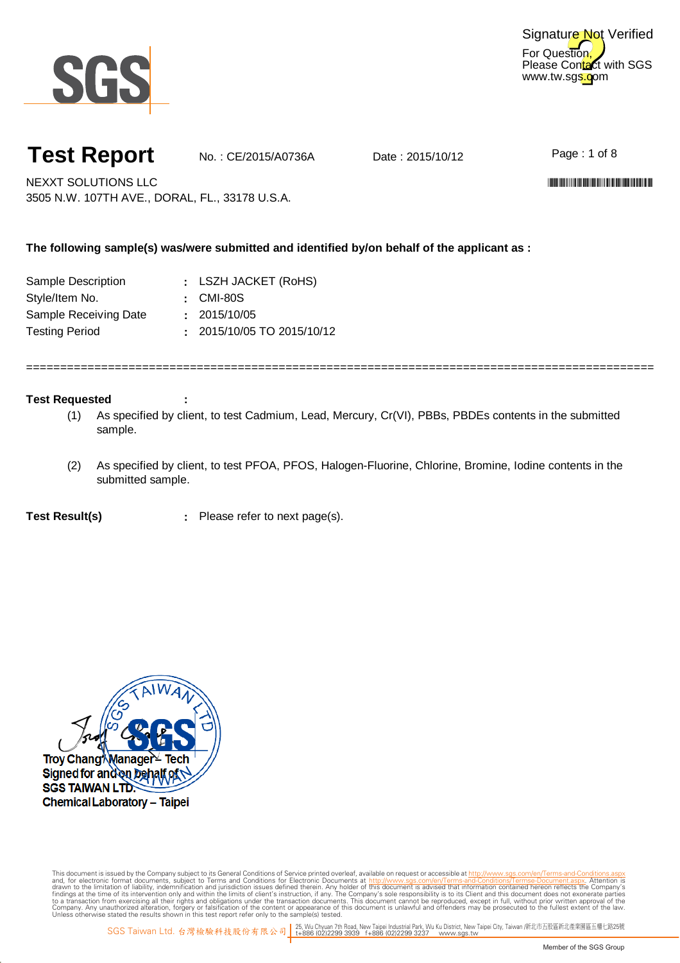

For Question, Please Contact with SGS www.tw.sgs.com Signature Not Verified

## **Test Report** No. : CE/2015/A0736A Date : 2015/10/12

Page : 1 of 8

NEXXT SOLUTIONS LLC  $\blacksquare$ 3505 N.W. 107TH AVE., DORAL, FL., 33178 U.S.A.

**The following sample(s) was/were submitted and identified by/on behalf of the applicant as :**

| Sample Description    | : LSZH JACKET (RoHS)       |
|-----------------------|----------------------------|
| Style/Item No.        | $:$ CMI-80S                |
| Sample Receiving Date | : 2015/10/05               |
| <b>Testing Period</b> | : 2015/10/05 TO 2015/10/12 |

**:**

### **Test Requested**

(1) As specified by client, to test Cadmium, Lead, Mercury, Cr(VI), PBBs, PBDEs contents in the submitted sample.

============================================================================================

(2) As specified by client, to test PFOA, PFOS, Halogen-Fluorine, Chlorine, Bromine, Iodine contents in the submitted sample.

**Test Result(s)**

Digitally signed by ww. **:** Please refer to next page(s).

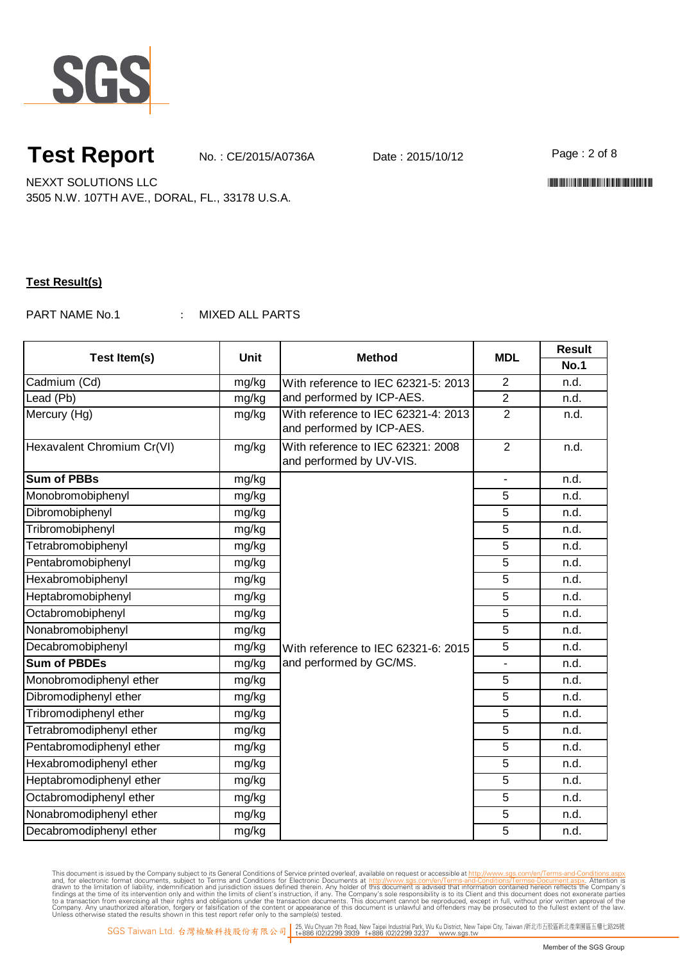

# **Test Report** No. : CE/2015/A0736A Date : 2015/10/12 Page : 2 of 8

NEXXT SOLUTIONS LLC  $\blacksquare$ 3505 N.W. 107TH AVE., DORAL, FL., 33178 U.S.A.

#### **Test Result(s)**

: MIXED ALL PARTS PART NAME No.1

| Test Item(s)               | <b>Unit</b> | <b>Method</b>                                                    | <b>MDL</b>     | <b>Result</b> |
|----------------------------|-------------|------------------------------------------------------------------|----------------|---------------|
|                            |             |                                                                  |                | <b>No.1</b>   |
| Cadmium (Cd)               | mg/kg       | With reference to IEC 62321-5: 2013<br>and performed by ICP-AES. | $\overline{2}$ | n.d.          |
| Lead (Pb)                  | mg/kg       |                                                                  | $\overline{2}$ | n.d.          |
| Mercury (Hg)               | mg/kg       | With reference to IEC 62321-4: 2013<br>and performed by ICP-AES. | $\overline{2}$ | n.d.          |
| Hexavalent Chromium Cr(VI) | mg/kg       | With reference to IEC 62321: 2008<br>and performed by UV-VIS.    | $\overline{2}$ | n.d.          |
| <b>Sum of PBBs</b>         | mg/kg       |                                                                  | ÷,             | n.d.          |
| Monobromobiphenyl          | mg/kg       |                                                                  | 5              | n.d.          |
| Dibromobiphenyl            | mg/kg       |                                                                  | 5              | n.d.          |
| Tribromobiphenyl           | mg/kg       |                                                                  | 5              | n.d.          |
| Tetrabromobiphenyl         | mg/kg       |                                                                  | 5              | n.d.          |
| Pentabromobiphenyl         | mg/kg       |                                                                  | 5              | n.d.          |
| Hexabromobiphenyl          | mg/kg       |                                                                  | 5              | n.d.          |
| Heptabromobiphenyl         | mg/kg       |                                                                  | 5              | n.d.          |
| Octabromobiphenyl          | mg/kg       |                                                                  | 5              | n.d.          |
| Nonabromobiphenyl          | mg/kg       | With reference to IEC 62321-6: 2015<br>and performed by GC/MS.   | 5              | n.d.          |
| Decabromobiphenyl          | mg/kg       |                                                                  | $\overline{5}$ | n.d.          |
| <b>Sum of PBDEs</b>        | mg/kg       |                                                                  | ÷,             | n.d.          |
| Monobromodiphenyl ether    | mg/kg       |                                                                  | $\overline{5}$ | n.d.          |
| Dibromodiphenyl ether      | mg/kg       |                                                                  | $\overline{5}$ | n.d.          |
| Tribromodiphenyl ether     | mg/kg       |                                                                  | $\overline{5}$ | n.d.          |
| Tetrabromodiphenyl ether   | mg/kg       |                                                                  | 5              | n.d.          |
| Pentabromodiphenyl ether   | mg/kg       |                                                                  | 5              | n.d.          |
| Hexabromodiphenyl ether    | mg/kg       |                                                                  | 5              | n.d.          |
| Heptabromodiphenyl ether   | mg/kg       |                                                                  | 5              | n.d.          |
| Octabromodiphenyl ether    | mg/kg       |                                                                  | 5              | n.d.          |
| Nonabromodiphenyl ether    | mg/kg       |                                                                  | 5              | n.d.          |
| Decabromodiphenyl ether    | mg/kg       |                                                                  | 5              | n.d.          |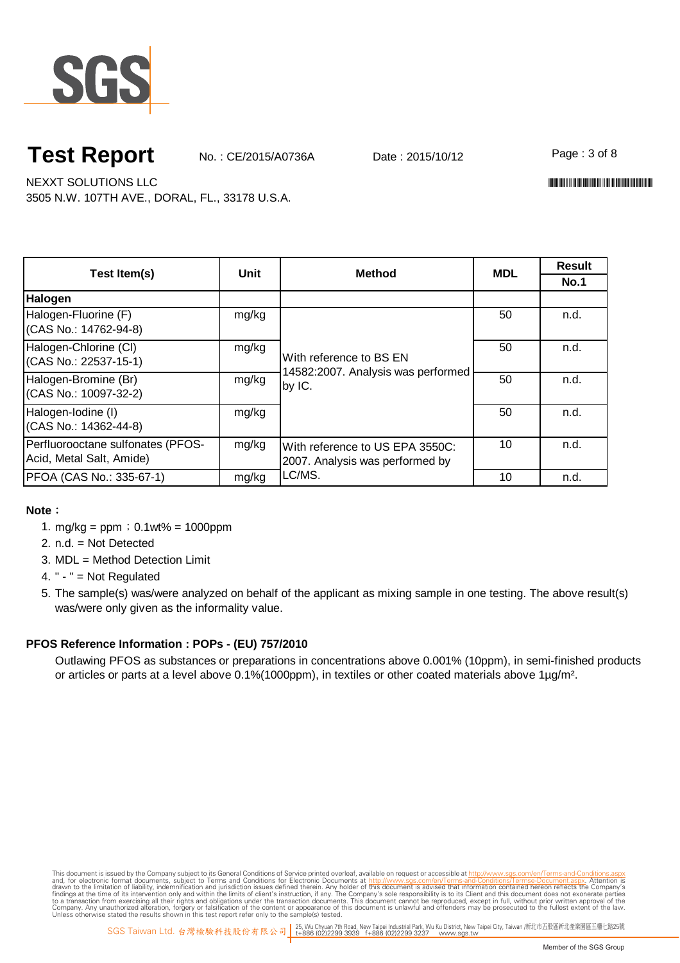

# **Test Report** No. : CE/2015/A0736A Date : 2015/10/12 Page : 3 of 8

NEXXT SOLUTIONS LLC  $\blacksquare$ 

3505 N.W. 107TH AVE., DORAL, FL., 33178 U.S.A.

| Test Item(s)                                                  | <b>Unit</b> | <b>Method</b>                                                                | <b>MDL</b> | <b>Result</b> |
|---------------------------------------------------------------|-------------|------------------------------------------------------------------------------|------------|---------------|
|                                                               |             |                                                                              |            | <b>No.1</b>   |
| <b>Halogen</b>                                                |             |                                                                              |            |               |
| Halogen-Fluorine (F)<br>(CAS No.: 14762-94-8)                 | mg/kg       | With reference to BS EN<br>14582:2007. Analysis was performed<br>by IC.      | 50         | n.d.          |
| Halogen-Chlorine (CI)<br>(CAS No.: 22537-15-1)                | mg/kg       |                                                                              | 50         | n.d.          |
| Halogen-Bromine (Br)<br>(CAS No.: 10097-32-2)                 | mg/kg       |                                                                              | 50         | n.d.          |
| Halogen-Iodine (I)<br>(CAS No.: 14362-44-8)                   | mg/kg       |                                                                              | 50         | n.d.          |
| Perfluorooctane sulfonates (PFOS-<br>Acid, Metal Salt, Amide) | mg/kg       | With reference to US EPA 3550C:<br>2007. Analysis was performed by<br>LC/MS. | 10         | n.d.          |
| PFOA (CAS No.: 335-67-1)                                      | mg/kg       |                                                                              | 10         | n.d.          |

#### **Note**:

- 1. mg/kg =  $ppm$ ; 0.1wt% = 1000ppm
- 2. n.d. = Not Detected
- 3. MDL = Method Detection Limit
- 4. " " = Not Regulated
- 5. The sample(s) was/were analyzed on behalf of the applicant as mixing sample in one testing. The above result(s) was/were only given as the informality value.

### **PFOS Reference Information : POPs - (EU) 757/2010**

Outlawing PFOS as substances or preparations in concentrations above 0.001% (10ppm), in semi-finished products or articles or parts at a level above 0.1%(1000ppm), in textiles or other coated materials above 1µg/m<sup>2</sup>.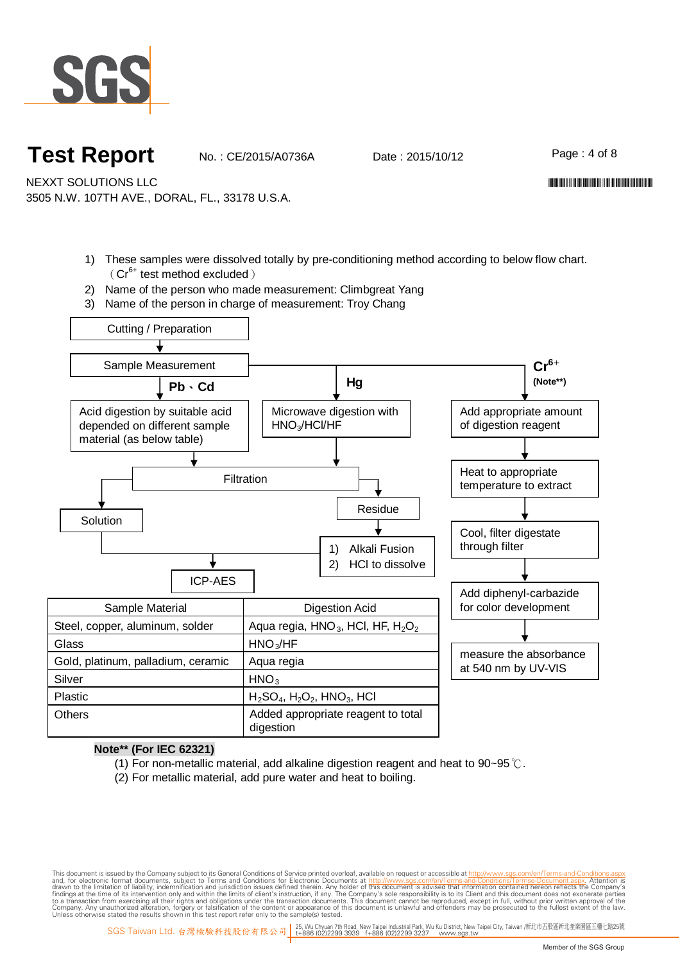

## **Test Report** No. : CE/2015/A0736A Date : 2015/10/12 Page : 4 of 8

NEXXT SOLUTIONS LLC  $\blacksquare$ 

3505 N.W. 107TH AVE., DORAL, FL., 33178 U.S.A.

- 1) These samples were dissolved totally by pre-conditioning method according to below flow chart.  $(Cr^{6+})$  test method excluded)
- 2) Name of the person who made measurement: Climbgreat Yang
- 3) Name of the person in charge of measurement: Troy Chang



#### **Note\*\* (For IEC 62321)**

- (1) For non-metallic material, add alkaline digestion reagent and heat to  $90-95$  °C.
- (2) For metallic material, add pure water and heat to boiling.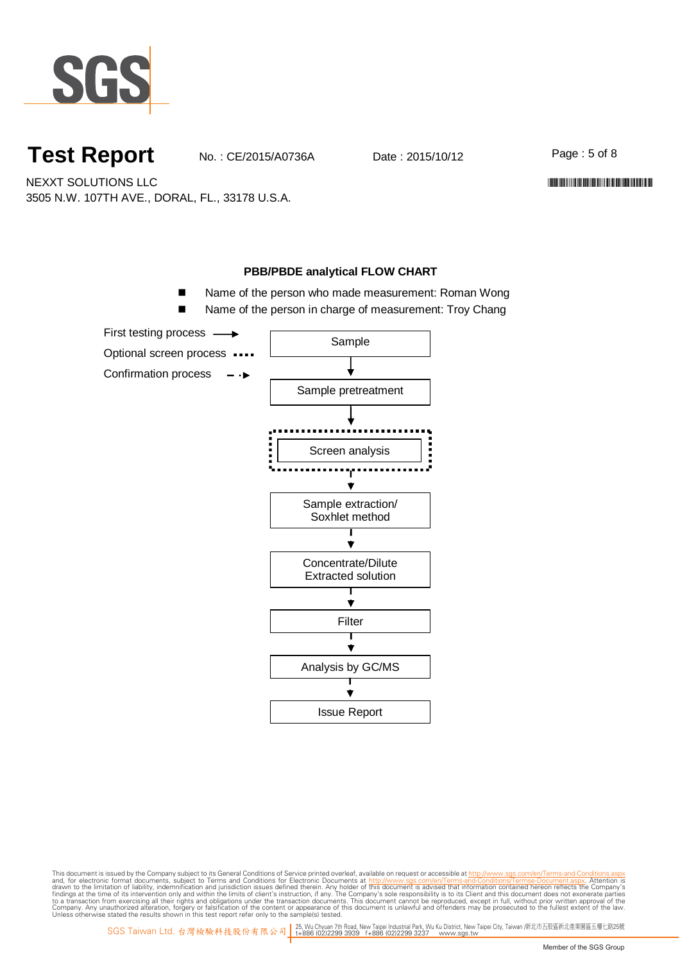

# **Test Report** No. : CE/2015/A0736A Date : 2015/10/12 Page : 5 of 8

NEXXT SOLUTIONS LLC  $\blacksquare$ 3505 N.W. 107TH AVE., DORAL, FL., 33178 U.S.A.

### **PBB/PBDE analytical FLOW CHART**

- Name of the person who made measurement: Roman Wong
- Name of the person in charge of measurement: Troy Chang

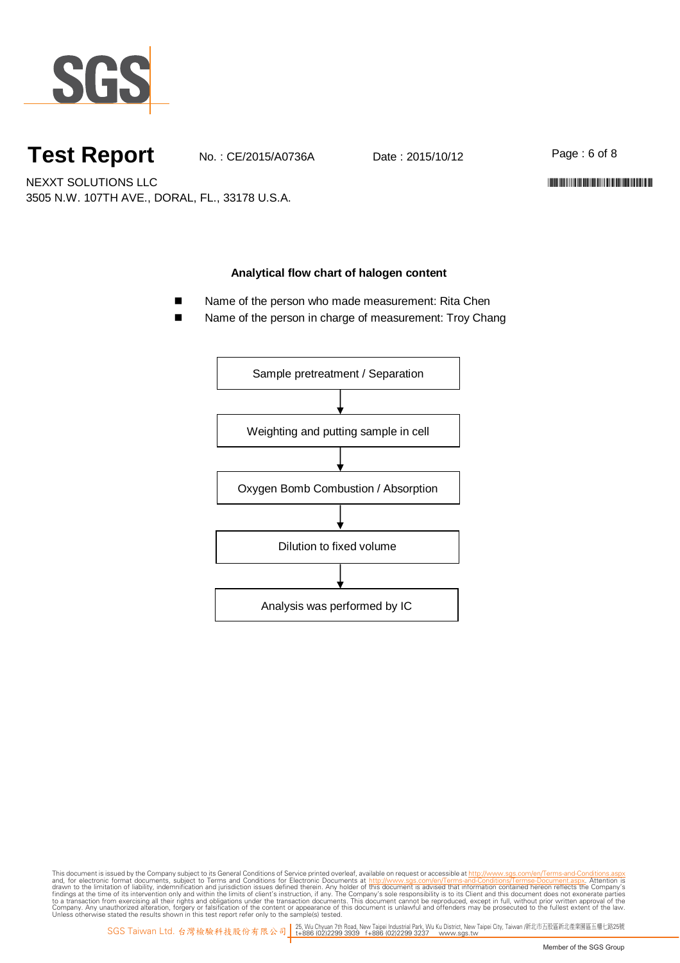

# **Test Report** No. : CE/2015/A0736A Date : 2015/10/12 Page : 6 of 8

NEXXT SOLUTIONS LLC  $\blacksquare$ 3505 N.W. 107TH AVE., DORAL, FL., 33178 U.S.A.

### **Analytical flow chart of halogen content**

- Name of the person who made measurement: Rita Chen
- Name of the person in charge of measurement: Troy Chang

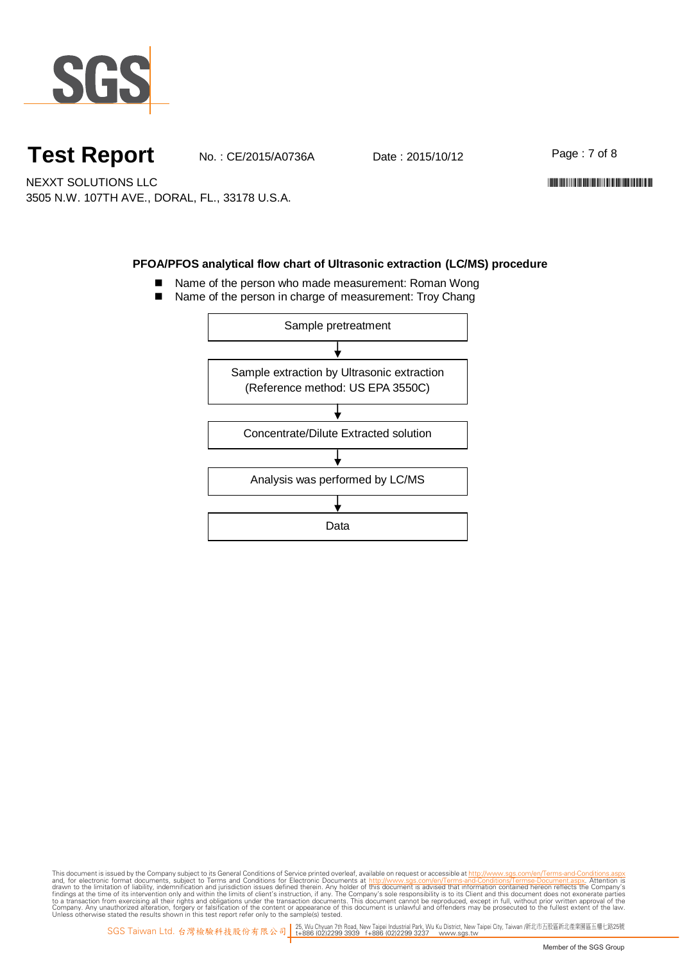

## **Test Report** No. : CE/2015/A0736A Date : 2015/10/12 Page : 7 of 8

NEXXT SOLUTIONS LLC  $\blacksquare$ 3505 N.W. 107TH AVE., DORAL, FL., 33178 U.S.A.

#### **PFOA/PFOS analytical flow chart of Ultrasonic extraction (LC/MS) procedure**

- Name of the person who made measurement: Roman Wong
- Name of the person in charge of measurement: Troy Chang